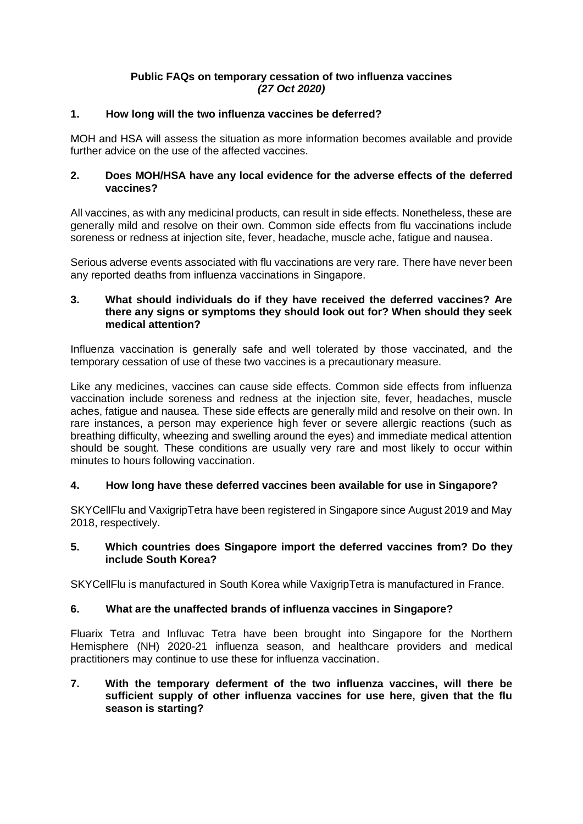#### **Public FAQs on temporary cessation of two influenza vaccines** *(27 Oct 2020)*

## **1. How long will the two influenza vaccines be deferred?**

MOH and HSA will assess the situation as more information becomes available and provide further advice on the use of the affected vaccines.

#### **2. Does MOH/HSA have any local evidence for the adverse effects of the deferred vaccines?**

All vaccines, as with any medicinal products, can result in side effects. Nonetheless, these are generally mild and resolve on their own. Common side effects from flu vaccinations include soreness or redness at injection site, fever, headache, muscle ache, fatigue and nausea.

Serious adverse events associated with flu vaccinations are very rare. There have never been any reported deaths from influenza vaccinations in Singapore.

#### **3. What should individuals do if they have received the deferred vaccines? Are there any signs or symptoms they should look out for? When should they seek medical attention?**

Influenza vaccination is generally safe and well tolerated by those vaccinated, and the temporary cessation of use of these two vaccines is a precautionary measure.

Like any medicines, vaccines can cause side effects. Common side effects from influenza vaccination include soreness and redness at the injection site, fever, headaches, muscle aches, fatigue and nausea. These side effects are generally mild and resolve on their own. In rare instances, a person may experience high fever or severe allergic reactions (such as breathing difficulty, wheezing and swelling around the eyes) and immediate medical attention should be sought. These conditions are usually very rare and most likely to occur within minutes to hours following vaccination.

## **4. How long have these deferred vaccines been available for use in Singapore?**

SKYCellFlu and VaxigripTetra have been registered in Singapore since August 2019 and May 2018, respectively.

## **5. Which countries does Singapore import the deferred vaccines from? Do they include South Korea?**

SKYCellFlu is manufactured in South Korea while VaxigripTetra is manufactured in France.

## **6. What are the unaffected brands of influenza vaccines in Singapore?**

Fluarix Tetra and Influvac Tetra have been brought into Singapore for the Northern Hemisphere (NH) 2020-21 influenza season, and healthcare providers and medical practitioners may continue to use these for influenza vaccination.

#### **7. With the temporary deferment of the two influenza vaccines, will there be sufficient supply of other influenza vaccines for use here, given that the flu season is starting?**